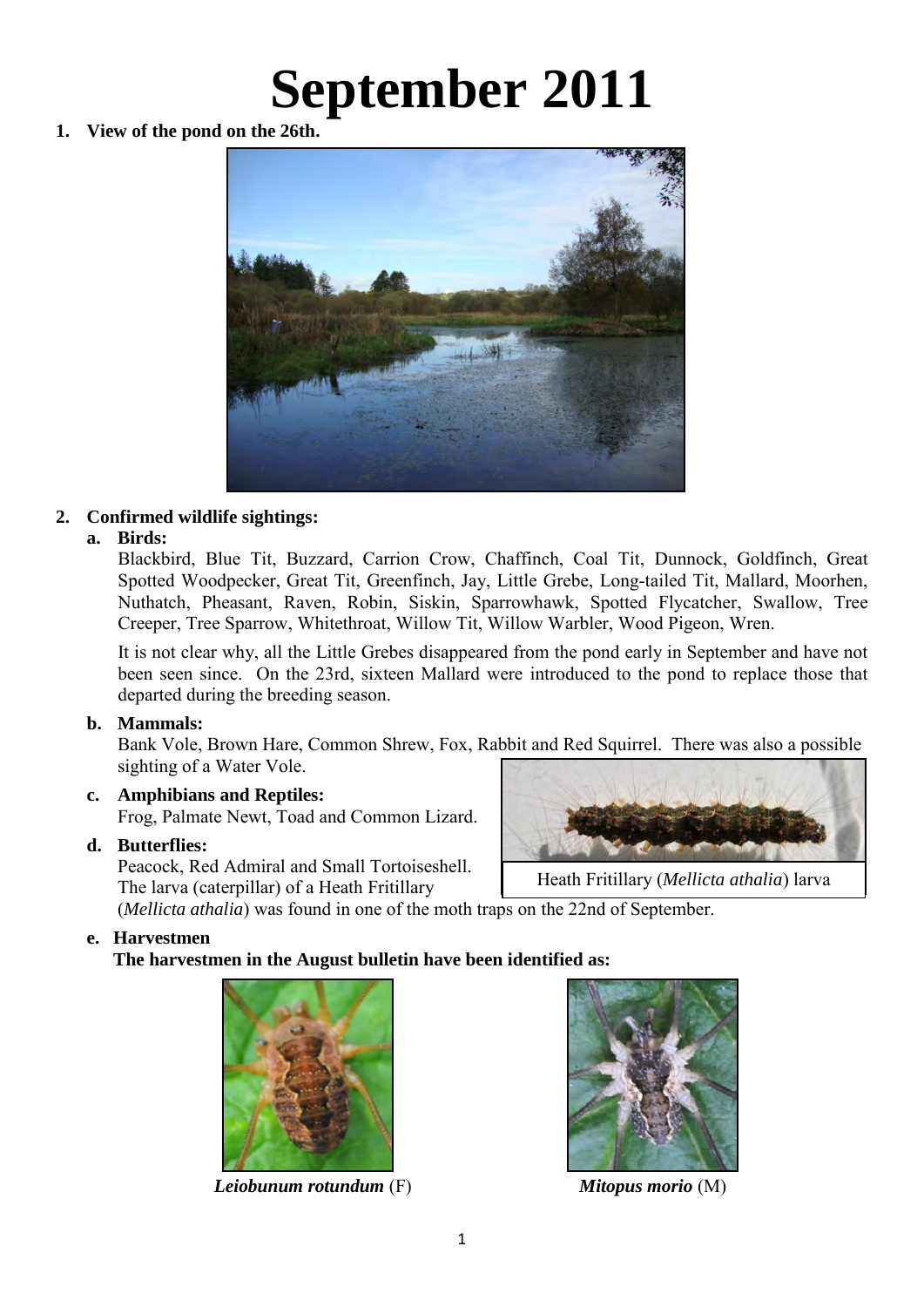# **September 2011**

**1. View of the pond on the 26th.** 



# **2. Confirmed wildlife sightings:**

# **a. Birds:**

Blackbird, Blue Tit, Buzzard, Carrion Crow, Chaffinch, Coal Tit, Dunnock, Goldfinch, Great Spotted Woodpecker, Great Tit, Greenfinch, Jay, Little Grebe, Long-tailed Tit, Mallard, Moorhen, Nuthatch, Pheasant, Raven, Robin, Siskin, Sparrowhawk, Spotted Flycatcher, Swallow, Tree Creeper, Tree Sparrow, Whitethroat, Willow Tit, Willow Warbler, Wood Pigeon, Wren.

It is not clear why, all the Little Grebes disappeared from the pond early in September and have not been seen since. On the 23rd, sixteen Mallard were introduced to the pond to replace those that departed during the breeding season.

# **b. Mammals:**

 Bank Vole, Brown Hare, Common Shrew, Fox, Rabbit and Red Squirrel. There was also a possible sighting of a Water Vole.

# **c. Amphibians and Reptiles:**

Frog, Palmate Newt, Toad and Common Lizard.

# **d. Butterflies:**

Peacock, Red Admiral and Small Tortoiseshell. The larva (caterpillar) of a Heath Fritillary



Heath Fritillary (*Mellicta athalia*) larva

(*Mellicta athalia*) was found in one of the moth traps on the 22nd of September.

# **e. Harvestmen**

 **The harvestmen in the August bulletin have been identified as:** 



*Leiobunum rotundum* (F) *Mitopus morio* (M)

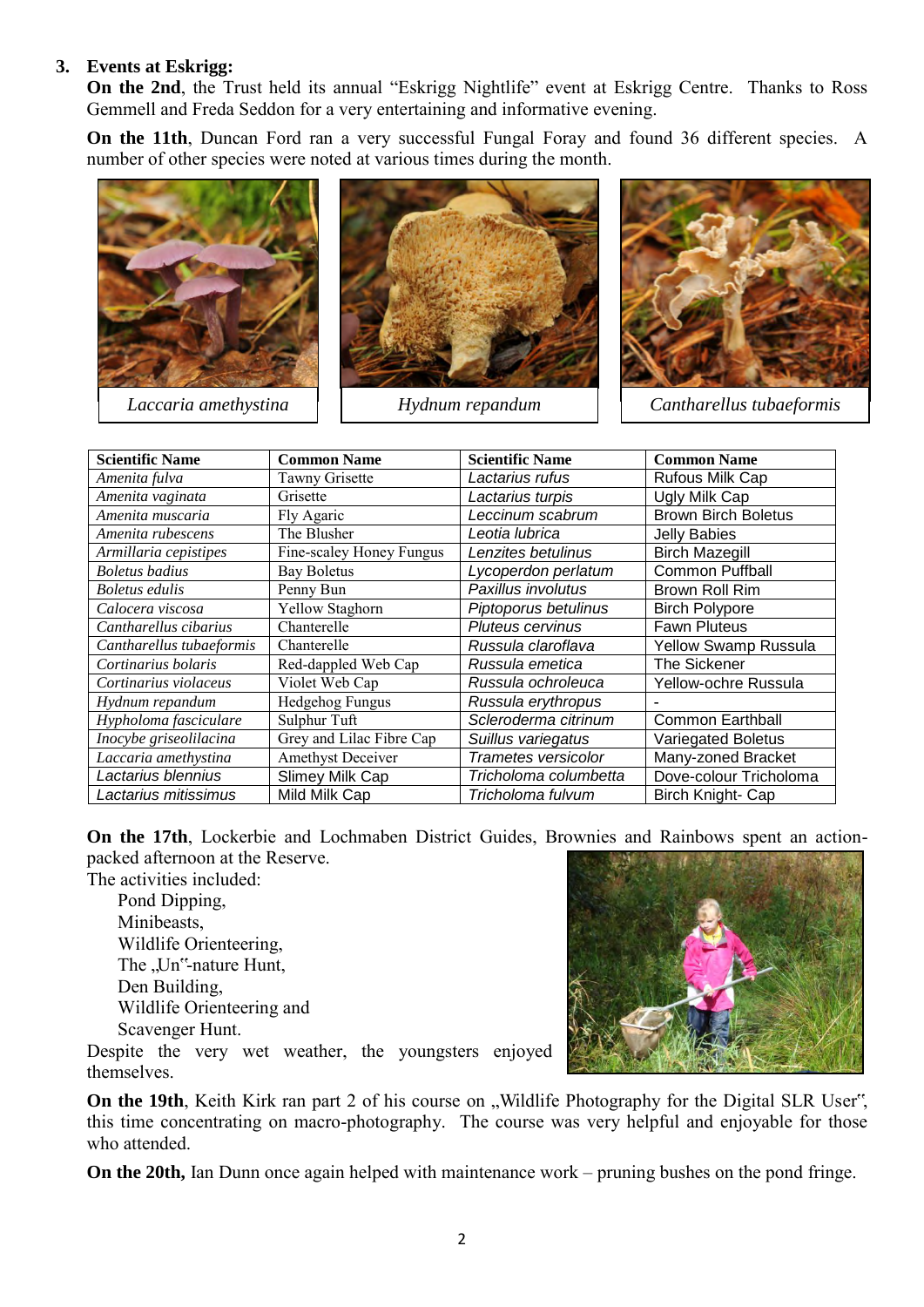### **3. Events at Eskrigg:**

**On the 2nd**, the Trust held its annual "Eskrigg Nightlife" event at Eskrigg Centre. Thanks to Ross Gemmell and Freda Seddon for a very entertaining and informative evening.

**On the 11th**, Duncan Ford ran a very successful Fungal Foray and found 36 different species. A number of other species were noted at various times during the month.

![](_page_1_Picture_3.jpeg)

![](_page_1_Picture_5.jpeg)

*Hydnum repandum Cantharellus tubaeformis*

| <b>Scientific Name</b>   | <b>Common Name</b>       | <b>Scientific Name</b>  | <b>Common Name</b>         |
|--------------------------|--------------------------|-------------------------|----------------------------|
| Amenita fulva            | <b>Tawny Grisette</b>    | Lactarius rufus         | Rufous Milk Cap            |
| Amenita vaginata         | Grisette                 | Lactarius turpis        | Ugly Milk Cap              |
| Amenita muscaria         | Fly Agaric               | Leccinum scabrum        | <b>Brown Birch Boletus</b> |
| Amenita rubescens        | The Blusher              | Leotia lubrica          | <b>Jelly Babies</b>        |
| Armillaria cepistipes    | Fine-scaley Honey Fungus | Lenzites betulinus      | <b>Birch Mazegill</b>      |
| <b>Boletus</b> badius    | <b>Bay Boletus</b>       | Lycoperdon perlatum     | <b>Common Puffball</b>     |
| Boletus edulis           | Penny Bun                | Paxillus involutus      | Brown Roll Rim             |
| Calocera viscosa         | Yellow Staghorn          | Piptoporus betulinus    | <b>Birch Polypore</b>      |
| Cantharellus cibarius    | Chanterelle              | <b>Pluteus cervinus</b> | <b>Fawn Pluteus</b>        |
| Cantharellus tubaeformis | Chanterelle              | Russula claroflava      | Yellow Swamp Russula       |
| Cortinarius bolaris      | Red-dappled Web Cap      | Russula emetica         | <b>The Sickener</b>        |
| Cortinarius violaceus    | Violet Web Cap           | Russula ochroleuca      | Yellow-ochre Russula       |
| Hydnum repandum          | Hedgehog Fungus          | Russula erythropus      |                            |
| Hypholoma fasciculare    | Sulphur Tuft             | Scleroderma citrinum    | <b>Common Earthball</b>    |
| Inocybe griseolilacina   | Grey and Lilac Fibre Cap | Suillus variegatus      | <b>Variegated Boletus</b>  |
| Laccaria amethystina     | Amethyst Deceiver        | Trametes versicolor     | Many-zoned Bracket         |
| Lactarius blennius       | Slimey Milk Cap          | Tricholoma columbetta   | Dove-colour Tricholoma     |
| Lactarius mitissimus     | Mild Milk Cap            | Tricholoma fulvum       | Birch Knight- Cap          |

**On the 17th**, Lockerbie and Lochmaben District Guides, Brownies and Rainbows spent an actionpacked afternoon at the Reserve.

The activities included:

Pond Dipping, Minibeasts, Wildlife Orienteering, The "Un"-nature Hunt, Den Building, Wildlife Orienteering and Scavenger Hunt.

![](_page_1_Picture_11.jpeg)

Despite the very wet weather, the youngsters enjoyed themselves.

**On the 19th**, Keith Kirk ran part 2 of his course on "Wildlife Photography for the Digital SLR User", this time concentrating on macro-photography. The course was very helpful and enjoyable for those who attended.

 **On the 20th,** Ian Dunn once again helped with maintenance work – pruning bushes on the pond fringe.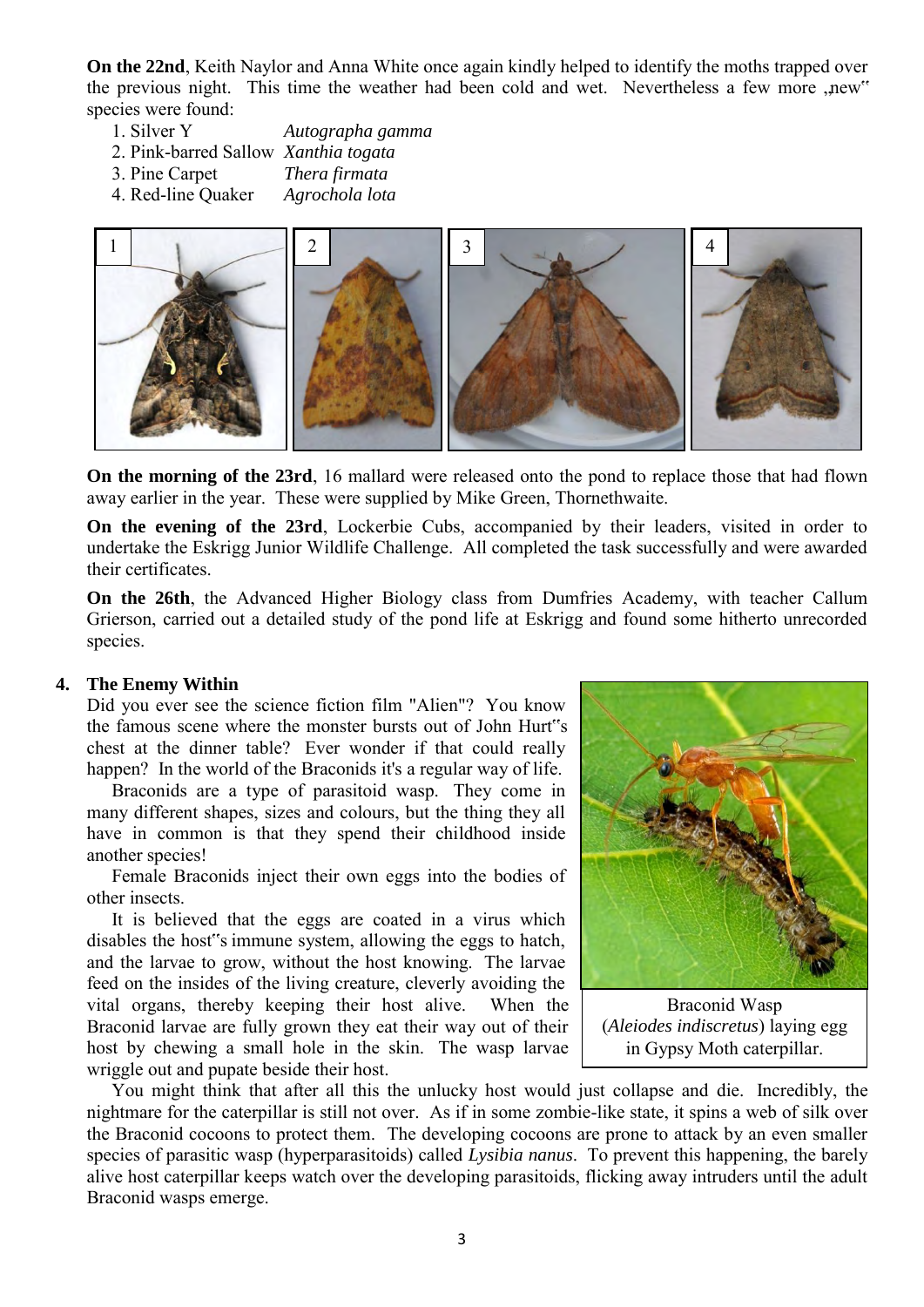**On the 22nd**, Keith Naylor and Anna White once again kindly helped to identify the moths trapped over the previous night. This time the weather had been cold and wet. Nevertheless a few more new" species were found:<br>1 Silver Y

- 1. Silver Y *Autographa gamma*
- 2. Pink-barred Sallow *Xanthia togata*
- 3. Pine Carpet *Thera firmata*
- 4. Red-line Quaker *Agrochola lota*

![](_page_2_Picture_5.jpeg)

**On the morning of the 23rd**, 16 mallard were released onto the pond to replace those that had flown away earlier in the year. These were supplied by Mike Green, Thornethwaite.

**On the evening of the 23rd**, Lockerbie Cubs, accompanied by their leaders, visited in order to undertake the Eskrigg Junior Wildlife Challenge. All completed the task successfully and were awarded their certificates.

**On the 26th**, the Advanced Higher Biology class from Dumfries Academy, with teacher Callum Grierson, carried out a detailed study of the pond life at Eskrigg and found some hitherto unrecorded species.

#### **4. The Enemy Within**

Did you ever see the science fiction film "Alien"? You know the famous scene where the monster bursts out of John Hurt"s chest at the dinner table? Ever wonder if that could really happen? In the world of the Braconids it's a regular way of life.

Braconids are a type of parasitoid wasp. They come in many different shapes, sizes and colours, but the thing they all have in common is that they spend their childhood inside another species!

Female Braconids inject their own eggs into the bodies of other insects.

It is believed that the eggs are coated in a virus which disables the host"s immune system, allowing the eggs to hatch, and the larvae to grow, without the host knowing. The larvae feed on the insides of the living creature, cleverly avoiding the vital organs, thereby keeping their host alive. When the Braconid larvae are fully grown they eat their way out of their host by chewing a small hole in the skin. The wasp larvae wriggle out and pupate beside their host.

![](_page_2_Picture_14.jpeg)

Braconid Wasp (*Aleiodes indiscretus*) laying egg in Gypsy Moth caterpillar.

You might think that after all this the unlucky host would just collapse and die. Incredibly, the nightmare for the caterpillar is still not over. As if in some zombie-like state, it spins a web of silk over the Braconid cocoons to protect them. The developing cocoons are prone to attack by an even smaller species of parasitic wasp (hyperparasitoids) called *Lysibia nanus*. To prevent this happening, the barely alive host caterpillar keeps watch over the developing parasitoids, flicking away intruders until the adult Braconid wasps emerge.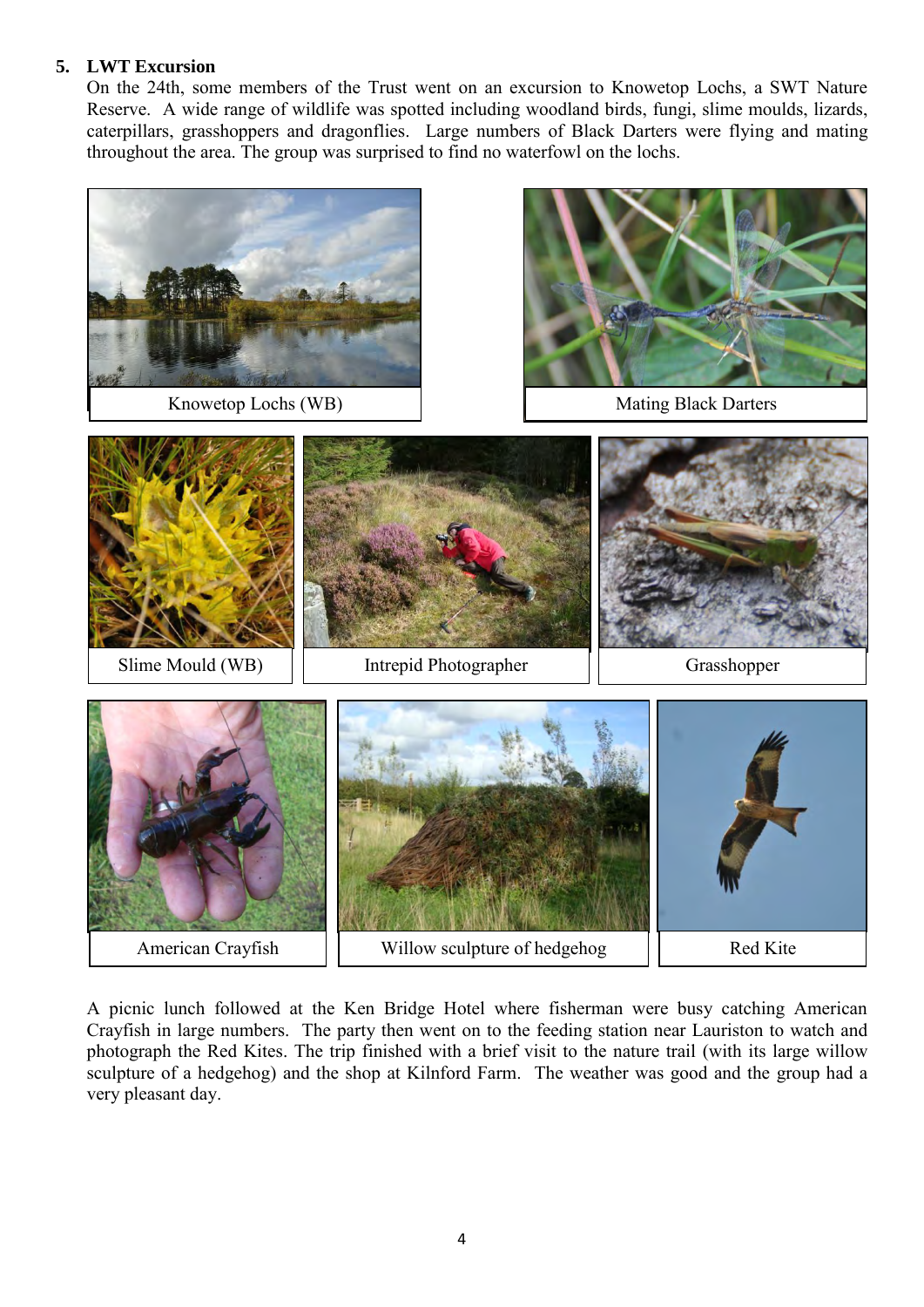# **5. LWT Excursion**

On the 24th, some members of the Trust went on an excursion to Knowetop Lochs, a SWT Nature Reserve. A wide range of wildlife was spotted including woodland birds, fungi, slime moulds, lizards, caterpillars, grasshoppers and dragonflies. Large numbers of Black Darters were flying and mating throughout the area. The group was surprised to find no waterfowl on the lochs.

![](_page_3_Picture_2.jpeg)

A picnic lunch followed at the Ken Bridge Hotel where fisherman were busy catching American Crayfish in large numbers. The party then went on to the feeding station near Lauriston to watch and photograph the Red Kites. The trip finished with a brief visit to the nature trail (with its large willow sculpture of a hedgehog) and the shop at Kilnford Farm. The weather was good and the group had a very pleasant day.